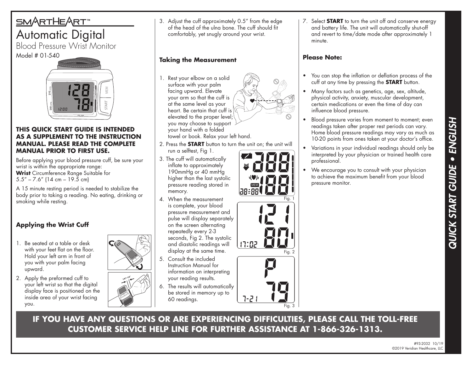# SMARTHEART Automatic Digital

Blood Pressure Wrist Monitor Model # 01-540



#### **THIS QUICK START GUIDE IS INTENDED AS A SUPPLEMENT TO THE INSTRUCTION MANUAL. PLEASE READ THE COMPLETE MANUAL PRIOR TO FIRST USE.**

Before applying your blood pressure cuff, be sure your wrist is within the appropriate range: **Wrist** Circumference Range Suitable for  $5.5'' - 7.6''$  (14 cm – 19.5 cm)

A 15 minute resting period is needed to stabilize the body prior to taking a reading. No eating, drinking or smoking while resting.

# **Applying the Wrist Cuff**

- 1. Be seated at a table or desk with your feet flat on the floor. Hold your left arm in front of you with your palm facing upward.
- 2. Apply the preformed cuff to your left wrist so that the digital display face is positioned on the inside area of your wrist facing you.





3. Adjust the cuff approximately 0.5" from the edge of the head of the ulna bone. The cuff should fit comfortably, yet snugly around your wrist.

### **Taking the Measurement**

1. Rest your elbow on a solid surface with your palm facing upward. Elevate your arm so that the cuff is at the same level as your heart. Be certain that cuff is elevated to the proper level; you may choose to support your hand with a folded



towel or book. Relax your left hand.

- 2. Press the **START** button to turn the unit on; the unit will run a selftest, Fig 1.
- 3. The cuff will automatically inflate to approximately 190mmHg or 40 mmHg higher than the last systolic pressure reading stored in memory.
- 4. When the measurement is complete, your blood pressure measurement and pulse will display separately on the screen alternating repeatedly every 2-3 seconds, Fig 2. The systolic and diastolic readings will display at the same time.
- 5. Consult the included Instruction Manual for information on interpreting your reading results.
- 6. The results will automatically be stored in memory up to 60 readings.



Fig. 3

7. Select **START** to turn the unit off and conserve energy and battery life. The unit will automatically shut-off and revert to time/date mode after approximately 1 minute.

### **Please Note:**

- You can stop the inflation or deflation process of the cuff at any time by pressing the **START** button.
- Many factors such as genetics, age, sex, altitude, physical activity, anxiety, muscular development, certain medications or even the time of day can influence blood pressure.
- Blood pressure varies from moment to moment; even readings taken after proper rest periods can vary. Home blood pressure readings may vary as much as 10-20 points from ones taken at your doctor's office.
- Variations in your individual readings should only be interpreted by your physician or trained health care professional.
- We encourage you to consult with your physician to achieve the maximum benefit from your blood pressure monitor.

**IF YOU HAVE ANY QUESTIONS OR ARE EXPERIENCING DIFFICULTIES, PLEASE CALL THE TOLL-FREE CUSTOMER SERVICE HELP LINE FOR FURTHER ASSISTANCE AT 1-866-326-1313.**